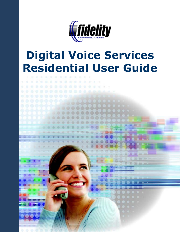

# **Digital Voice Services Residential User Guide**

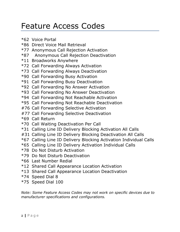## <span id="page-1-0"></span>Feature Access Codes

- \*62 Voice Portal
- \*86 Direct Voice Mail Retrieval
- \*77 Anonymous Call Rejection Activation
- \*87 Anonymous Call Rejection Deactivation
- \*11 Broadworks Anywhere
- \*72 Call Forwarding Always Activation
- \*73 Call Forwarding Always Deactivation
- \*90 Call Forwarding Busy Activation
- \*91 Call Forwarding Busy Deactivation
- \*92 Call Forwarding No Answer Activation
- \*93 Call Forwarding No Answer Deactivation
- \*94 Call Forwarding Not Reachable Activation
- \*95 Call Forwarding Not Reachable Deactivation
- #76 Call Forwarding Selective Activation
- #77 Call Forwarding Selective Deactivation
- \*69 Call Return
- \*70 Call Waiting Deactivation Per Call
- \*31 Calling Line ID Delivery Blocking Activation All Calls
- #31 Calling Line ID Delivery Blocking Deactivation All Calls
- \*67 Calling Line ID Delivery Blocking Activation Individual Calls
- \*65 Calling Line ID Delivery Activation Individual Calls
- \*78 Do Not Disturb Activation
- \*79 Do Not Disturb Deactivation
- \*66 Last Number Redial
- \*12 Shared Call Appearance Location Activation
- \*13 Shared Call Appearance Location Deactivation
- \*74 Speed Dial 8
- \*75 Speed Dial 100

*Note: Some Feature Access Codes may not work on specific devices due to manufacturer specifications and configurations.*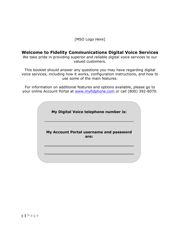#### [MSO Logo Here]

#### **Welcome to Fidelity Communications Digital Voice Services**

We take pride in providing superior and reliable digital voice services to our valued customers.

This booklet should answer any questions you may have regarding digital voice services, including how it works, configuration instructions, and how to use some of the main features.

For information on additional features and options available, please go to your online Account Portal at [www.myfidphone.com](http://www.myfidphone.com/) or call (800) 392-8070.

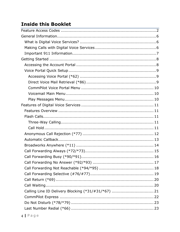## **Inside this Booklet**

| Calling Line ID Delivery Blocking (*31/#31/*67)  21 |  |
|-----------------------------------------------------|--|
|                                                     |  |
|                                                     |  |
|                                                     |  |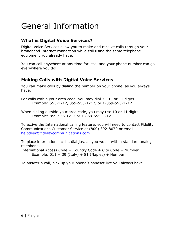## <span id="page-5-0"></span>General Information

#### <span id="page-5-1"></span>**What is Digital Voice Services?**

Digital Voice Services allow you to make and receive calls through your broadband Internet connection while still using the same telephone equipment you already have.

You can call anywhere at any time for less, and your phone number can go everywhere you do!

#### <span id="page-5-2"></span>**Making Calls with Digital Voice Services**

You can make calls by dialing the number on your phone, as you always have.

For calls within your area code, you may dial 7, 10, or 11 digits. Example: 555-1212, 859-555-1212, or 1-859-555-1212

When dialing outside your area code, you may use 10 or 11 digits. Example: 859-555-1212 or 1-859-555-1212

To active the International calling feature, you will need to contact Fidelity Communications Customer Service at (800) 392-8070 or email [helpdesk@fidelitycommunications.com](mailto:helpdesk@fidelitycommunications.com)

To place international calls, dial just as you would with a standard analog telephone.

International Access Code + Country Code + City Code + Number Example:  $011 + 39$  (Italy) + 81 (Naples) + Number

To answer a call, pick up your phone's handset like you always have.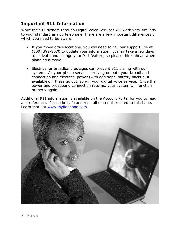#### <span id="page-6-0"></span>**Important 911 Information**

While the 911 system through Digital Voice Services will work very similarly to your standard analog telephone, there are a few important differences of which you need to be aware.

- If you move office locations, you will need to call our support line at (800) 392-8070 to update your information. It may take a few days to activate and change your 911 feature, so please think ahead when planning a move.
- Electrical or broadband outages can prevent 911 dialing with our system. As your phone service is relying on both your broadband connection and electrical power (with additional battery backup, if available), if these go out, so will your digital voice service. Once the power and broadband connection returns, your system will function properly again.

Additional 911 information is available on the Account Portal for you to read and reference. Please be safe and read all materials related to this issue. Learn more at [www.myfidphone.com.](http://voice.domain.com/)

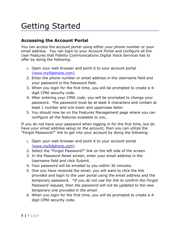## <span id="page-7-0"></span>Getting Started

#### <span id="page-7-1"></span>**Accessing the Account Portal**

You can access the account portal using either your phone number or your email address. You can login to your Account Portal and configure all the User Features that Fidelity Communications Digital Voice Services has to offer by doing the following:

- 1. Open your web browser and point it to your account portal [\(www.myfidphone.com\)](https://www.myfidphone.com/).
- 2. Enter the phone number or email address in the Username field and your password in the Password field.
- 3. When you login for the first time, you will be prompted to create a 4 digit CPNI security code.
- 4. After entering your CPNI code, you will be prompted to change your password. The password must be at least 6 characters and contain at least 1 number and one lower and uppercase letter.
- 5. You should now be on the Features Management page where you can configure all the features available to you.

If you do not have your password when logging in for the first time, but do have your email address setup on the account, then you can utilize the "Forgot Password?" link to get into your account by doing the following:

- 1. Open your web browser and point it to your account portal [\(www.myfidphone.com\)](https://www.myfidphone.com/).
- 2. Select the "Forgot Password?" link on the left side of the screen.
- 3. In the Password Reset screen, enter your email address in the Username field and click Submit.
- 4. Your password will be emailed to you within 30 minutes.
- 5. One you have received the email, you will want to click the link provided and login to the user portal using the email address and the temporary password. *\*If you do not use the link to confirm the Forgot Password request, then the password will not be updated to the new temporary one provided in the email.*
- 6. When you login for the first time, you will be prompted to create a 4 digit CPNI security code.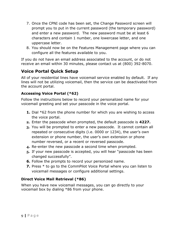- 7. Once the CPNI code has been set, the Change Password screen will prompt you to put in the current password (the temporary password) and enter a new password. The new password must be at least 6 characters and contain 1 number, one lowercase letter, and one uppercase letter.
- 8. You should now be on the Features Management page where you can configure all the features available to you.

If you do not have an email address associated to the account, or do not receive an email within 30 minutes, please contact us at (800) 392-8070.

### <span id="page-8-0"></span>**Voice Portal Quick Setup**

All of your residential lines have voicemail service enabled by default. If any lines will not be utilizing voicemail, then the service can be deactivated from the account portal.

#### <span id="page-8-1"></span>**Accessing Voice Portal (\*62)**

Follow the instructions below to record your personalized name for your voicemail greeting and set your passcode in the voice portal.

- **1.** Dial \*62 from the phone number for which you are wishing to access the voice portal.
- **2.** Enter the passcode when prompted, the default passcode is **4227.**
- **3.** You will be prompted to enter a new passcode. It cannot contain all repeated or consecutive digits (i.e. 0000 or 1234), the user's own extension or phone number, the user's own extension or phone number reversed, or a recent or reversed passcode.
- **4.** Re-enter the new passcode a second time when prompted.
- **5.** If your new passcode is accepted, you will hear "passcode has been changed successfully".
- **6.** Follow the prompts to record your personized name.
- **7.** Press  $*$  to go to the CommPilot Voice Portal where you can listen to voicemail messages or configure additional settings.

#### <span id="page-8-2"></span>**Direct Voice Mail Retrieval (\*86)**

When you have new voicemail messages, you can go directly to your voicemail box by dialing \*86 from your phone.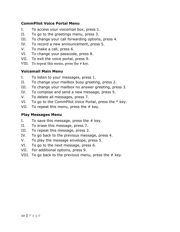#### <span id="page-9-0"></span>**CommPilot Voice Portal Menu**

- I. To access your voicemail box, press 1.
- II. To go to the greetings menu, press 3.
- III. To change your call forwarding options, press 4.
- IV. To record a new announcement, press 5.
- V. To make a call, press 6.
- VI. To change your passcode, press 8.
- VII. To exit the voice portal, press 9.
- VIII. To repeat this menu, press the # key.

#### <span id="page-9-1"></span>**Voicemail Main Menu**

- I. To listen to your messages, press 1.
- II. To change your mailbox busy greeting, press 2.
- III. To change your mailbox no answer greeting, press 3.
- IV. To compose and send a new message, press 5.
- V. To delete all messages, press 7.
- VI. To go to the CommPilot Voice Portal, press the  $*$  key.
- VII. To repeat this menu, press the  $#$  key.

#### <span id="page-9-2"></span>**Play Messages Menu**

- I. To save this message, press the  $#$  key.
- II. To erase this message, press 7.
- III. To repeat this message, press 2.
- IV. To go back to the previous message, press 4.
- V. To play the message envelope, press 5.
- VI. To go to the next message, press 6.
- VII. For additional options, press 9.
- VIII. To go back to the previous menu, press the # key.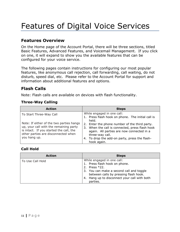## <span id="page-10-0"></span>Features of Digital Voice Services

#### <span id="page-10-1"></span>**Features Overview**

On the Home page of the Account Portal, there will be three sections, titled Basic Features, Advanced Features, and Voicemail Management. If you click on one, it will expand to show you the available features that can be configured for your voice service.

The following pages contain instructions for configuring our most popular features, like anonymous call rejection, call forwarding, call waiting, do not disturb, speed dial, etc. Please refer to the Account Portal for support and information about additional features and options.

#### <span id="page-10-2"></span>**Flash Calls**

Note: Flash calls are available on devices with flash functionality.

#### <span id="page-10-3"></span>**Three-Way Calling**

| <b>Action</b>                                                                                                                                                                        | <b>Steps</b>                                                                                                                                                                                                                     |
|--------------------------------------------------------------------------------------------------------------------------------------------------------------------------------------|----------------------------------------------------------------------------------------------------------------------------------------------------------------------------------------------------------------------------------|
| To Start Three-Way Call                                                                                                                                                              | While engaged in one call:<br>1. Press flash hook on phone. The initial call is<br>held.                                                                                                                                         |
| Note: If either of the two parties hangs<br>up, your call with the remaining party<br>is intact. If you started the call, the<br>other parties are disconnected when<br>you hang up. | 2. Enter the phone number of the third party.<br>3. When the call is connected, press flash hook<br>again. All parties are now connected in a<br>three-way call.<br>4. To drop the add-on party, press the flash-<br>hook again. |

#### <span id="page-10-4"></span>**Call Hold**

| <b>Action</b>    | <b>Steps</b>                                                                                                                                                                                                                  |
|------------------|-------------------------------------------------------------------------------------------------------------------------------------------------------------------------------------------------------------------------------|
| To Use Call Hold | While engaged in one call:<br>Press flash hook on phone.<br>1.<br>2. Press *22.<br>3. You can make a second call and toggle<br>between calls by pressing flash hook.<br>Hang up to disconnect your call with both<br>parties. |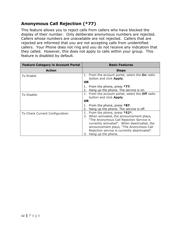## <span id="page-11-0"></span>**Anonymous Call Rejection (\*77)**

This feature allows you to reject calls from callers who have blocked the display of their number. Only deliberate anonymous numbers are rejected. Callers whose numbers are unavailable are not rejected. Callers that are rejected are informed that you are not accepting calls from unidentified callers. Your Phone does not ring and you do not receive any indication that they called. However, this does not apply to calls within your group. This feature is disabled by default.

| <b>Feature Category in Account Portal</b> | <b>Basic Features</b>                                                                                                                                                                                                                                                                             |
|-------------------------------------------|---------------------------------------------------------------------------------------------------------------------------------------------------------------------------------------------------------------------------------------------------------------------------------------------------|
| <b>Action</b>                             | <b>Steps</b>                                                                                                                                                                                                                                                                                      |
| To Enable                                 | 1. From the account portal, select the <b>On</b> radio<br>button and click Apply.<br>OR.                                                                                                                                                                                                          |
|                                           | 1. From the phone, press $*77$ .<br>2. Hang up the phone. The service is on.                                                                                                                                                                                                                      |
| To Disable                                | 1. From the account portal, select the <b>Off</b> radio<br>button and click Apply.<br><b>OR</b>                                                                                                                                                                                                   |
|                                           | 1. From the phone, press $*87$ .<br>2.<br>Hang up the phone. The service is off.                                                                                                                                                                                                                  |
| To Check Current Configuration            | 1.<br>From the phone, press *52*.<br>2. When activated, the announcement plays,<br>"The Anonymous Call Rejection Service is<br>currently activated". When deactivated, the<br>announcement plays, "The Anonymous Call<br>Rejection service is currently deactivated".<br>Hang up the phone.<br>3. |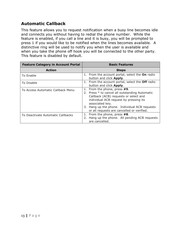## <span id="page-12-0"></span>**Automatic Callback**

This feature allows you to request notification when a busy line becomes idle and connects you without having to redial the phone number. While the feature is enabled, if you call a line and it is busy, you will be prompted to press 1 if you would like to be notified when the lines becomes available. A distinctive ring will be used to notify you when the user is available and when you take the phone off hook you will be connected to the other party. This feature is disabled by default.

| <b>Feature Category in Account Portal</b> | <b>Basic Features</b>                                                                                                                                                                                                                                                            |
|-------------------------------------------|----------------------------------------------------------------------------------------------------------------------------------------------------------------------------------------------------------------------------------------------------------------------------------|
| <b>Action</b>                             | <b>Steps</b>                                                                                                                                                                                                                                                                     |
| To Enable                                 | 1. From the account portal, select the On radio<br>button and click Apply.                                                                                                                                                                                                       |
| To Disable                                | 1. From the account portal, select the Off radio<br>button and click Apply.                                                                                                                                                                                                      |
| To Access Automatic Callback Menu         | From the phone, press #9.<br>2. Press * to cancel all outstanding Automatic<br>Callback (ACB) requests or select and<br>individual ACB request by pressing its<br>associated key.<br>3. Hang up the phone. Individual ACB requests<br>or all requests are cancelled or verified. |
| To Deactivate Automatic Callbacks         | From the phone, press #8.<br>1.<br>2. Hang up the phone. All pending ACB requests<br>are cancelled.                                                                                                                                                                              |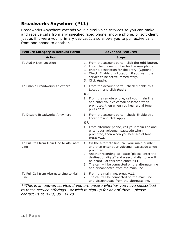### <span id="page-13-0"></span>**Broadworks Anywhere (\*11)**

Broadworks Anywhere extends your digital voice services so you can make and receive calls from any specified fixed phone, mobile phone, or soft client just as if it were your primary device. It also allows you to pull active calls from one phone to another.

| <b>Feature Category in Account Portal</b>        | <b>Advanced Features</b>                                                                                                                                                                                                                                                                                         |
|--------------------------------------------------|------------------------------------------------------------------------------------------------------------------------------------------------------------------------------------------------------------------------------------------------------------------------------------------------------------------|
| <b>Action</b>                                    | <b>Steps</b>                                                                                                                                                                                                                                                                                                     |
| To Add A New Location                            | 1. From the account portal, click the <b>Add</b> button.<br>2. Enter the phone number for the new phone.<br>3. Enter a description for the entry. (Optional)<br>4. Check 'Enable this Location' if you want the<br>service to be active immediately.<br>5. Click Apply.                                          |
| To Enable Broadworks Anywhere                    | 1. From the account portal, check 'Enable this<br>Location' and click Apply.                                                                                                                                                                                                                                     |
|                                                  | <b>OR</b>                                                                                                                                                                                                                                                                                                        |
|                                                  | 1. From the remote phone, call your main line<br>and enter your voicemail passcode when<br>prompted, then when you hear a dial tone,<br>press $*12$ .                                                                                                                                                            |
| To Disable Broadworks Anywhere                   | 1. From the account portal, check 'Enable this<br>Location' and click Apply.                                                                                                                                                                                                                                     |
|                                                  | <b>OR</b>                                                                                                                                                                                                                                                                                                        |
|                                                  | 1. From alternate phone, call your main line and<br>enter your voicemail passcode when<br>prompted, then when you hear a dial tone,<br>press *13.                                                                                                                                                                |
| To Pull Call from Main Line to Alternate<br>Line | 1. On the alternate line, call your main number<br>and then enter your voicemail passcode when<br>prompted.<br>2. Another recording will state "please enter the<br>destination digits" and a second dial tone will<br>be heard - at this time enter *11.<br>3. The call will be connected on the alternate line |
|                                                  | and disconnected from the main line.                                                                                                                                                                                                                                                                             |
| To Pull Call from Alternate Line to Main<br>Line | 1. From the main line, press *11.<br>The call will be connected on the main line<br>2.<br>and disconnected from the alternate line.                                                                                                                                                                              |

*\*\*This is an add-on service, if you are unsure whether you have subscribed to these service offerings - or wish to sign up for any of them - please contact us at (800) 392-8070.*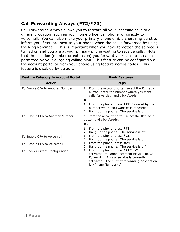## <span id="page-14-0"></span>**Call Forwarding Always (\*72/\*73)**

Call Forwarding Always allows you to forward all your incoming calls to a different location, such as your home office, cell phone, or directly to voicemail. You can also make your primary phone emit a short ring burst to inform you if you are next to your phone when the call is forwarded by using the Ring Reminder. This is important when you have forgotten the service is turned on and you are at your primary phone waiting to receive calls. Note that the location (number or extension) you forward your calls to must be permitted by your outgoing calling plan. This feature can be configured via the account portal or from your phone using feature access codes. This feature is disabled by default.

| <b>Feature Category in Account Portal</b> | <b>Basic Features</b>                                                                                                                                                         |
|-------------------------------------------|-------------------------------------------------------------------------------------------------------------------------------------------------------------------------------|
| <b>Action</b>                             | <b>Steps</b>                                                                                                                                                                  |
| To Enable CFA to Another Number           | 1. From the account portal, select the On radio<br>button, enter the number where you want<br>calls forwarded, and click Apply.                                               |
|                                           | <b>OR</b>                                                                                                                                                                     |
|                                           | 1. From the phone, press *72, followed by the<br>number where you want calls forwarded.<br>2. Hang up the phone. The service is on.                                           |
| To Disable CFA to Another Number          | 1. From the account portal, select the Off radio<br>button and click Apply.                                                                                                   |
|                                           | <b>OR</b>                                                                                                                                                                     |
|                                           | 1. From the phone, press *73.<br>Hang up the phone. The service is off.<br>2.                                                                                                 |
| To Enable CFA to Voicemail                | 1. From the phone, press $*21$ .<br>Hang up the phone. The service is on.<br>2.                                                                                               |
| To Disable CFA to Voicemail               | From the phone, press #21.<br>1.<br>Hang up the phone. The service is off.<br>2.                                                                                              |
| To Check Current Configuration            | 1. From the phone, press *21*. When<br>activated, the announcement plays "The Call<br>Forwarding Always service is currently<br>activated. The current forwarding destination |
|                                           | is <phone number="">."</phone>                                                                                                                                                |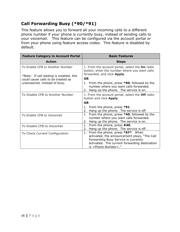## <span id="page-15-0"></span>**Call Forwarding Busy (\*90/\*91)**

This feature allows you to forward all your incoming calls to a different phone number if your phone is currently busy, instead of sending calls to your voicemail. This feature can be configured via the account portal or from your phone using feature access codes. This feature is disabled by default.

| <b>Feature Category in Account Portal</b>                                                                        | <b>Basic Features</b>                                                                                                                                                                                          |
|------------------------------------------------------------------------------------------------------------------|----------------------------------------------------------------------------------------------------------------------------------------------------------------------------------------------------------------|
| <b>Action</b>                                                                                                    | <b>Steps</b>                                                                                                                                                                                                   |
| To Enable CFB to Another Number<br>*Note: If call waiting is enabled, this<br>could cause calls to be treated as | 1. From the account portal, select the On radio<br>button, enter the number where you want calls<br>forwarded, and click Apply.<br><b>OR</b>                                                                   |
| unanswered, instead of busy.                                                                                     | 1. From the phone, press <b>*90</b> , followed by the<br>number where you want calls forwarded.<br>2. Hang up the phone. The service is on.                                                                    |
| To Disable CFB to Another Number                                                                                 | 1. From the account portal, select the Off radio<br>button and click Apply.                                                                                                                                    |
|                                                                                                                  | <b>OR</b>                                                                                                                                                                                                      |
|                                                                                                                  | 1. From the phone, press *91.<br>2. Hang up the phone. The service is off.                                                                                                                                     |
| To Enable CFB to Voicemail                                                                                       | 1. From the phone, press *40, followed by the<br>number where you want calls forwarded.<br>Hang up the phone. The service is on.<br>2.                                                                         |
| To Disable CFB to Voicemail                                                                                      | From the phone, press #40.<br>1.<br>Hang up the phone. The service is off.<br>2.                                                                                                                               |
| To Check Current Configuration                                                                                   | 1. From the phone, press *67*. When<br>activated, the announcement plays, "The Call<br>Forwarding Busy Service is currently<br>activated. The current forwarding destination<br>is <phone number="">."</phone> |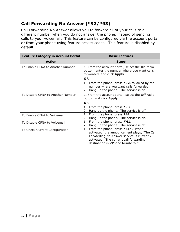## <span id="page-16-0"></span>**Call Forwarding No Answer (\*92/\*93)**

Call Forwarding No Answer allows you to forward all of your calls to a different number when you do not answer the phone, instead of sending calls to your voicemail. This feature can be configured via the account portal or from your phone using feature access codes. This feature is disabled by default.

| <b>Feature Category in Account Portal</b> | <b>Basic Features</b>                                                                                                                                                                                                    |
|-------------------------------------------|--------------------------------------------------------------------------------------------------------------------------------------------------------------------------------------------------------------------------|
| <b>Action</b>                             | <b>Steps</b>                                                                                                                                                                                                             |
| To Enable CFNA to Another Number          | 1. From the account portal, select the On radio<br>button, enter the number where you want calls<br>forwarded, and click Apply.                                                                                          |
|                                           | <b>OR</b>                                                                                                                                                                                                                |
|                                           | 1. From the phone, press *92, followed by the<br>number where you want calls forwarded.<br>2. Hang up the phone. The service is on.                                                                                      |
| To Disable CFNA to Another Number         | 1. From the account portal, select the Off radio<br>button and click <b>Apply</b> .                                                                                                                                      |
|                                           | OR.                                                                                                                                                                                                                      |
|                                           | 1. From the phone, press *93.                                                                                                                                                                                            |
|                                           | Hang up the phone. The service is off.<br>2.                                                                                                                                                                             |
| To Enable CFNA to Voicemail               | From the phone, press *41.<br>1.                                                                                                                                                                                         |
|                                           | Hang up the phone. The service is on.<br>2.                                                                                                                                                                              |
| To Disable CFNA to Voicemail              | From the phone, press #41.<br>1.<br>Hang up the phone. The service is off.<br>2.                                                                                                                                         |
| To Check Current Configuration            | 1. From the phone, press *61*. When<br>activated, the announcement plays, "The Call<br>Forwarding No Answer service is currently<br>activated. The current call forwarding<br>destination is <phone number="">."</phone> |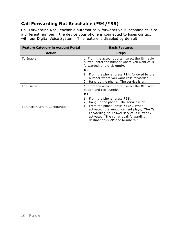## <span id="page-17-0"></span>**Call Forwarding Not Reachable (\*94/\*95)**

Call Forwarding Not Reachable automatically forwards your incoming calls to a different number if the device your phone is connected to loses contact with our Digital Voice System. This feature is disabled by default.

| <b>Feature Category in Account Portal</b> | <b>Basic Features</b>                                                                                                                                                                                                    |
|-------------------------------------------|--------------------------------------------------------------------------------------------------------------------------------------------------------------------------------------------------------------------------|
| <b>Action</b>                             | <b>Steps</b>                                                                                                                                                                                                             |
| To Enable                                 | 1. From the account portal, select the On radio<br>button, enter the number where you want calls<br>forwarded, and click Apply.                                                                                          |
|                                           | <b>OR</b>                                                                                                                                                                                                                |
|                                           | 1. From the phone, press *94, followed by the<br>number where you want calls forwarded.<br>Hang up the phone. The service is on.<br>2.                                                                                   |
| To Disable                                | 1. From the account portal, select the <b>Off</b> radio<br>button and click Apply.                                                                                                                                       |
|                                           | <b>OR</b>                                                                                                                                                                                                                |
|                                           | 1. From the phone, press *95.<br>Hang up the phone. The service is off.<br>2.                                                                                                                                            |
| To Check Current Configuration            | 1. From the phone, press *63*. When<br>activated, the announcement plays, "The Call<br>Forwarding No Answer service is currently<br>activated. The current call forwarding<br>destination is <phone number="">."</phone> |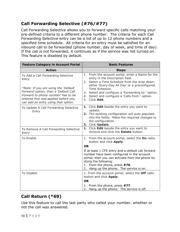## <span id="page-18-0"></span>**Call Forwarding Selective (#76/#77)**

Call Forwarding Selective allows you to forward specific calls matching your pre-defined criteria to a different phone number. The criteria for each Call Forwarding Selective entry can be a list of up to 12 phone numbers and a specified time schedule. All criteria for an entry must be satisfied for an inbound call to be forwarded (phone number, day of week, and time of day). If the call is not forwarded, it continues as if the service was not turned on. This feature is disabled by default.

| <b>Feature Category in Account Portal</b>                                                                                                                                                                                                         | <b>Basic Features</b>                                                                                                                                                                                                                                                                                                             |
|---------------------------------------------------------------------------------------------------------------------------------------------------------------------------------------------------------------------------------------------------|-----------------------------------------------------------------------------------------------------------------------------------------------------------------------------------------------------------------------------------------------------------------------------------------------------------------------------------|
| <b>Action</b>                                                                                                                                                                                                                                     | <b>Steps</b>                                                                                                                                                                                                                                                                                                                      |
| To Add a Call Forwarding Selective<br>Entry<br>*Note: If you are using the 'Default<br>Forward' option, then a 'Default Call<br>Forward to phone number' has to be<br>entered first and applied before you<br>can add an entry using that option. | 1. From the account portal, enter a Name for the<br>entry in the Description field.<br>2. Select a Time Schedule from the drop down:<br>either 'Every Day All Day' or a preconfigured<br>Time Schedule.<br>3. Select and configure a 'Forwarding to:' option.<br>4. Select and configure a 'Calls from:' option.<br>5. Click Add. |
| To Update A Call Forwarding Selective<br>Entry                                                                                                                                                                                                    | 1. Click Edit beside the entry you want to<br>update.<br>2. The existing configuration will auto populate<br>into the fields. Make the required changes to<br>the configuration.<br>3. Click Update.                                                                                                                              |
| To Remove A Call Forwarding Selective<br>Entry                                                                                                                                                                                                    | 1. Click Edit beside the entry you want to<br>remove and click the <b>Delete</b> button.                                                                                                                                                                                                                                          |
| <b>To Enable</b>                                                                                                                                                                                                                                  | 1. From the account portal, select the On radio<br>button and click Apply.<br><b>OR</b>                                                                                                                                                                                                                                           |
|                                                                                                                                                                                                                                                   | If at least 1 CFS entry and a default call forward<br>number have been configured in the account<br>portal, then you can activate from the phone by<br>doing the following:<br>1. From the phone, press #76.<br>2. Hang up the phone. The service is on.                                                                          |
| To Disable                                                                                                                                                                                                                                        | 1. From the account portal, select the Off radio<br>button and click Apply.<br><b>OR</b>                                                                                                                                                                                                                                          |
|                                                                                                                                                                                                                                                   | 1. From the phone, press #77.<br>2. Hang up the phone. The service is off.                                                                                                                                                                                                                                                        |

## <span id="page-18-1"></span>**Call Return (\*69)**

Use this feature to call the last party who called your number, whether or not the call was answered.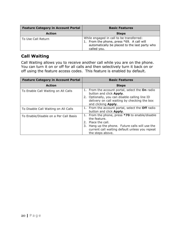| <b>Feature Category in Account Portal</b> | <b>Basic Features</b>                                                                                                                                 |
|-------------------------------------------|-------------------------------------------------------------------------------------------------------------------------------------------------------|
| <b>Action</b>                             | <b>Steps</b>                                                                                                                                          |
| To Use Call Return                        | While engaged in call to be transferred:<br>1. From the phone, press *69. A call will<br>automatically be placed to the last party who<br>called you. |

#### <span id="page-19-0"></span>**Call Waiting**

Call Waiting allows you to receive another call while you are on the phone. You can turn it on or off for all calls and then selectively turn it back on or off using the feature access codes. This feature is enabled by default.

| <b>Feature Category in Account Portal</b> | <b>Basic Features</b>                                                                                                                                                                                            |
|-------------------------------------------|------------------------------------------------------------------------------------------------------------------------------------------------------------------------------------------------------------------|
| <b>Action</b>                             | <b>Steps</b>                                                                                                                                                                                                     |
| To Enable Call Waiting on All Calls       | 1. From the account portal, select the On radio<br>button and click Apply.<br>2. Optionally, you can disable calling line ID<br>delivery on call waiting by checking the box<br>and clicking Apply.              |
| To Disable Call Waiting on All Calls      | 1. From the account portal, select the <b>Off</b> radio<br>button and click Apply.                                                                                                                               |
| To Enable/Disable on a Per Call Basis     | 1. From the phone, press *70 to enable/disable<br>the feature.<br>2. Place the call.<br>Hang up the phone. Future calls will use the<br>3.<br>current call waiting default unless you repeat<br>the steps above. |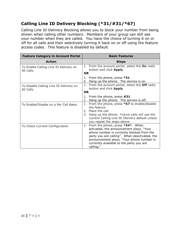## <span id="page-20-0"></span>**Calling Line ID Delivery Blocking (\*31/#31/\*67)**

Calling Line ID Delivery Blocking allows you to block your number from being shown when calling other numbers. Members of your group can still see your number when they are called. You have the choice of turning it on or off for all calls and then selectively turning it back on or off using the feature access codes. This feature is disabled by default.

| <b>Feature Category in Account Portal</b>           | <b>Basic Features</b>                                                                                                                                                                                                                                                                |
|-----------------------------------------------------|--------------------------------------------------------------------------------------------------------------------------------------------------------------------------------------------------------------------------------------------------------------------------------------|
| <b>Action</b>                                       | <b>Steps</b>                                                                                                                                                                                                                                                                         |
| To Enable Calling Line ID Delivery on<br>All Calls  | 1. From the account portal, select the <b>On</b> radio<br>button and click Apply.                                                                                                                                                                                                    |
|                                                     | <b>OR</b>                                                                                                                                                                                                                                                                            |
|                                                     | 1. From the phone, press *31.<br>2. Hang up the phone. The service is on.                                                                                                                                                                                                            |
| To Disable Calling Line ID Delivery on<br>All Calls | 1. From the account portal, select the Off radio<br>button and click Apply.                                                                                                                                                                                                          |
|                                                     | <b>OR</b>                                                                                                                                                                                                                                                                            |
|                                                     | 1. From the phone, press #31.<br>2. Hang up the phone. The service is off.                                                                                                                                                                                                           |
| To Enable/Disable on a Per Call Basis               | 1. From the phone, press $*67$ to enable/disable<br>the feature.<br>2. Place the call.<br>3. Hang up the phone. Future calls will use the<br>current Calling Line ID Delivery default unless<br>you repeat the steps above.                                                          |
| To Check Current Configuration                      | 1. From the phone, press *54*. When<br>activated, the announcement plays, "Your<br>phone number is currently blocked from the<br>party you are calling". When deactivated, the<br>announcement plays, "Your phone number is<br>currently available to the party you are<br>calling." |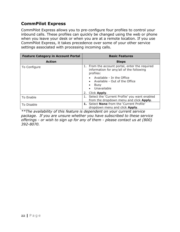#### <span id="page-21-0"></span>**CommPilot Express**

CommPilot Express allows you to pre-configure four profiles to control your inbound calls. These profiles can quickly be changed using the web or phone when you leave your desk or when you are at a remote location. If you use CommPilot Express, it takes precedence over some of your other service settings associated with processing incoming calls.

| <b>Feature Category in Account Portal</b> | <b>Basic Features</b>                                                                                                                                                                        |
|-------------------------------------------|----------------------------------------------------------------------------------------------------------------------------------------------------------------------------------------------|
| <b>Action</b>                             | <b>Steps</b>                                                                                                                                                                                 |
| To Configure                              | 1. From the account portal, enter the required<br>information for any/all of the following<br>profiles:<br>Available - In the Office<br>Available - Out of the Office<br>Busy<br>Unavailable |
|                                           | Click <b>Apply</b> .<br>2.                                                                                                                                                                   |
| To Enable                                 | 1. Select the 'Current Profile' you want enabled<br>from the dropdown menu and click Apply.                                                                                                  |
| To Disable                                | 1. Select None from the 'Current Profile'<br>dropdown menu and click Apply.                                                                                                                  |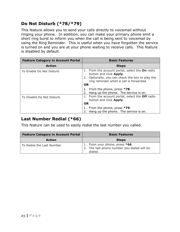## <span id="page-22-0"></span>**Do Not Disturb (\*78/\*79)**

This feature allows you to send your calls directly to voicemail without ringing your phone. In addition, you can make your primary phone emit a short ring burst to inform you when the call is being sent to voicemail by using the Ring Reminder. This is useful when you have forgotten the service is turned on and you are at your phone waiting to receive calls. This feature is disabled by default.

| <b>Feature Category in Account Portal</b> | <b>Basic Features</b>                                                                                                                                                                         |
|-------------------------------------------|-----------------------------------------------------------------------------------------------------------------------------------------------------------------------------------------------|
| <b>Action</b>                             | <b>Steps</b>                                                                                                                                                                                  |
| To Enable Do Not Disturb                  | 1. From the account portal, select the <b>On</b> radio<br>button and click Apply.<br>2. Optionally, you can check the box to play the<br>ring reminder when a call is forwarded.<br><b>OR</b> |
|                                           | 1. From the phone, press *78.<br>2. Hang up the phone. The service is on.                                                                                                                     |
| To Disable Do Not Disturb                 | 1. From the account portal, select the <b>Off</b> radio<br>button and click Apply.                                                                                                            |
|                                           | <b>OR</b><br>1. From the phone, press *79.                                                                                                                                                    |
|                                           | 2. Hang up the phone. The service is on.                                                                                                                                                      |

#### <span id="page-22-1"></span>**Last Number Redial (\*66)**

This feature can be used to easily redial the last number you called.

| <b>Feature Category in Account Portal</b> | <b>Basic Features</b>                                                                    |
|-------------------------------------------|------------------------------------------------------------------------------------------|
| <b>Action</b>                             | <b>Steps</b>                                                                             |
| To Redial the Last Number                 | 1. From your phone, press *66.<br>2. The last phone number you dialed will be<br>dialed. |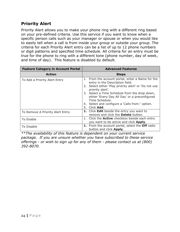#### <span id="page-23-0"></span>**Priority Alert**

Priority Alert allows you to make your phone ring with a different ring based on your pre-defined criteria. Use this service if you want to know when a specific person calls such as your manager or spouse or when you would like to easily tell when a call is from inside your group or outside your group. The criteria for each Priority Alert entry can be a list of up to 12 phone numbers or digit patterns and specified time schedule. All criteria for an entry must be true for the phone to ring with a different tone (phone number, day of week, and time of day). This feature is disabled by default.

| <b>Feature Category in Account Portal</b> | <b>Advanced Features</b>                                                                                                                                                                                                                                                                                                                                            |
|-------------------------------------------|---------------------------------------------------------------------------------------------------------------------------------------------------------------------------------------------------------------------------------------------------------------------------------------------------------------------------------------------------------------------|
| <b>Action</b>                             | <b>Steps</b>                                                                                                                                                                                                                                                                                                                                                        |
| To Add a Priority Alert Entry             | 1. From the account portal, enter a Name for the<br>entry in the Description field.<br>2. Select either 'Play priority alert' or 'Do not use<br>priority alert'.<br>3. Select a Time Schedule from the drop down,<br>either 'Every Day All Day' or a preconfigured<br>Time Schedule.<br>4. Select and configure a 'Calls from:' option.<br>Click <b>Add</b> .<br>5. |
|                                           |                                                                                                                                                                                                                                                                                                                                                                     |
| To Remove A Priority Alert Entry          | 1. Click Edit beside the entry you want to<br>remove and click the Delete button.                                                                                                                                                                                                                                                                                   |
| To Enable                                 | 1. Click the <b>Active</b> checkbox beside each entry<br>you want to be active and click <b>Apply</b> .                                                                                                                                                                                                                                                             |
| To Disable                                | 1. From the account portal, select the Off radio<br>button and click Apply.                                                                                                                                                                                                                                                                                         |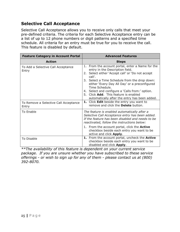### <span id="page-24-0"></span>**Selective Call Acceptance**

Selective Call Acceptance allows you to receive only calls that meet your pre-defined criteria. The criteria for each Selective Acceptance entry can be a list of up to 12 phone numbers or digit patterns and a specified time schedule. All criteria for an entry must be true for you to receive the call. This feature is disabled by default.

| <b>Feature Category in Account Portal</b>      | <b>Advanced Features</b>                                                                                                                                                                                                                                                                                                                                                                                           |
|------------------------------------------------|--------------------------------------------------------------------------------------------------------------------------------------------------------------------------------------------------------------------------------------------------------------------------------------------------------------------------------------------------------------------------------------------------------------------|
| <b>Action</b>                                  | <b>Steps</b>                                                                                                                                                                                                                                                                                                                                                                                                       |
| To Add a Selective Call Acceptance<br>Entry    | 1. From the account portal, enter a Name for the<br>entry in the Description field.<br>2. Select either 'Accept call' or 'Do not accept<br>call'.<br>3. Select a Time Schedule from the drop down:<br>either 'Every Day All Day' or a preconfigured<br>Time Schedule.<br>4. Select and configure a 'Calls from:' option.<br>5. Click Add. This feature is enabled<br>automatically after the entry has been added. |
| To Remove a Selective Call Acceptance<br>Entry | 1. Click Edit beside the entry you want to<br>remove and click the <b>Delete</b> button.                                                                                                                                                                                                                                                                                                                           |
| To Enable                                      | The feature is enabled automatically after a<br>Selective Call Acceptance entry has been added.<br>If the feature has been disabled and needs to be<br>reactivated, follow the instructions below:                                                                                                                                                                                                                 |
|                                                | 1. From the account portal, click the <b>Active</b><br>checkbox beside each entry you want to be<br>active and click Apply.                                                                                                                                                                                                                                                                                        |
| To Disable                                     | 1. From the account portal, uncheck the Active<br>checkbox beside each entry you want to be<br>disabled and click Apply.                                                                                                                                                                                                                                                                                           |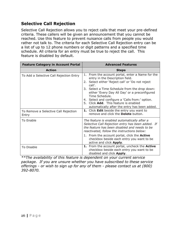### <span id="page-25-0"></span>**Selective Call Rejection**

Selective Call Rejection allows you to reject calls that meet your pre-defined criteria. These callers will be given an announcement that you cannot be reached. Use this feature to prevent nuisance calls from people you would rather not talk to. The criteria for each Selective Call Rejection entry can be a list of up to 12 phone numbers or digit patterns and a specified time schedule. All criteria for an entry must be true to reject the call. This feature is disabled by default.

| <b>Feature Category in Account Portal</b>     | <b>Advanced Features</b>                                                                                                                                                                                                                                                                                                                                                                                           |
|-----------------------------------------------|--------------------------------------------------------------------------------------------------------------------------------------------------------------------------------------------------------------------------------------------------------------------------------------------------------------------------------------------------------------------------------------------------------------------|
| <b>Action</b>                                 | <b>Steps</b>                                                                                                                                                                                                                                                                                                                                                                                                       |
| To Add a Selective Call Rejection Entry       | 1. From the account portal, enter a Name for the<br>entry in the Description field.<br>2. Select either 'Reject call' or 'Do not reject<br>call'.<br>3. Select a Time Schedule from the drop down:<br>either 'Every Day All Day' or a preconfigured<br>Time Schedule.<br>4. Select and configure a 'Calls from:' option.<br>5. Click Add. This feature is enabled<br>automatically after the entry has been added. |
| To Remove a Selective Call Rejection<br>Entry | 1. Click Edit beside the entry you want to<br>remove and click the <b>Delete</b> button.                                                                                                                                                                                                                                                                                                                           |
| <b>To Enable</b>                              | The feature is enabled automatically after a<br>Selective Call Rejection entry has been added. If<br>the feature has been disabled and needs to be<br>reactivated, follow the instructions below:                                                                                                                                                                                                                  |
|                                               | 1. From the account portal, click the Active<br>checkbox beside each entry you want to be<br>active and click <b>Apply</b> .                                                                                                                                                                                                                                                                                       |
| To Disable                                    | 1. From the account portal, uncheck the Active<br>checkbox beside each entry you want to be<br>disabled and click Apply.                                                                                                                                                                                                                                                                                           |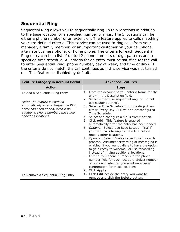## <span id="page-26-0"></span>**Sequential Ring**

Sequential Ring allows you to sequentially ring up to 5 locations in addition to the base location for a specified number of rings. The 5 locations can be either a phone number or an extension. The feature applies to calls matching your pre-defined criteria. This service can be used to ring calls from your manager, a family member, or an important customer on your cell phone, alternate business phone, or home phone. The criteria for each Sequential Ring entry can be a list of up to 12 phone numbers or digit patterns and a specified time schedule. All criteria for an entry must be satisfied for the call to enter Sequential Ring (phone number, day of week, and time of day). If the criteria do not match, the call continues as if this service was not turned on. This feature is disabled by default.

| <b>Feature Category in Account Portal</b>                                                                                                                                                                | <b>Advanced Features</b>                                                                                                                                                                                                                                                                                                                                                                                                                                                                                                                                                                                                                                                                                                                                                                                                                                                                                                                                                                                               |
|----------------------------------------------------------------------------------------------------------------------------------------------------------------------------------------------------------|------------------------------------------------------------------------------------------------------------------------------------------------------------------------------------------------------------------------------------------------------------------------------------------------------------------------------------------------------------------------------------------------------------------------------------------------------------------------------------------------------------------------------------------------------------------------------------------------------------------------------------------------------------------------------------------------------------------------------------------------------------------------------------------------------------------------------------------------------------------------------------------------------------------------------------------------------------------------------------------------------------------------|
| <b>Action</b>                                                                                                                                                                                            | <b>Steps</b>                                                                                                                                                                                                                                                                                                                                                                                                                                                                                                                                                                                                                                                                                                                                                                                                                                                                                                                                                                                                           |
| To Add a Sequential Ring Entry<br>Note: The feature is enabled<br>automatically after a Sequential Ring<br>entry has been added, even if no<br>additional phone numbers have been<br>added as locations. | 1. From the account portal, enter a Name for the<br>entry in the Description field.<br>2. Select either 'Use sequential ring' or 'Do not<br>use sequential ring'.<br>3. Select a Time Schedule from the drop down:<br>either 'Every Day All Day' or a preconfigured<br>Time Schedule.<br>4. Select and configure a 'Calls from:' option.<br>5. Click Add. This feature is enabled<br>automatically after the entry has been added.<br>6. Optional: Select 'Use Base Location first' if<br>you want calls to ring to main line before<br>ringing other locations.<br>7. Optional: Select 'Enable caller to skip search<br>process. Assumes forwarding or messaging is<br>enabled' if you want callers to have the option<br>to go directly to voicemail or use forwarding<br>instead of ringing additional locations.<br>8. Enter 1 to 5 phone numbers in the phone<br>number field for each location. Select number<br>of rings and whether you want an answer<br>confirmation for these locations.<br>9. Click Apply. |
| To Remove a Sequential Ring Entry                                                                                                                                                                        | 1. Click Edit beside the entry you want to<br>remove and click the <b>Delete</b> button.                                                                                                                                                                                                                                                                                                                                                                                                                                                                                                                                                                                                                                                                                                                                                                                                                                                                                                                               |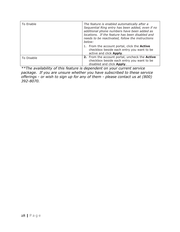| To Enable  | The feature is enabled automatically after a<br>Sequential Ring entry has been added, even if no<br>additional phone numbers have been added as<br>locations. If the feature has been disabled and<br>needs to be reactivated, follow the instructions<br>below: |
|------------|------------------------------------------------------------------------------------------------------------------------------------------------------------------------------------------------------------------------------------------------------------------|
|            | 1. From the account portal, click the <b>Active</b><br>checkbox beside each entry you want to be<br>active and click <b>Apply</b> .                                                                                                                              |
| To Disable | 2. From the account portal, uncheck the Active<br>checkbox beside each entry you want to be<br>disabled and click Apply.                                                                                                                                         |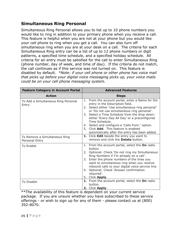#### <span id="page-28-0"></span>**Simultaneous Ring Personal**

Simultaneous Ring Personal allows you to list up to 10 phone numbers you would like to ring in addition to your primary phone when you receive a call. This feature is helpful when you are not at your phone but you would like your cell phone to ring when you get a call. You can also turn off simultaneous ring when you are at your desk on a call. The criteria for each Simultaneous Ring entry can be a list of up to 12 phone numbers or digit patterns, a specified time schedule, and a specified holiday schedule. All criteria for an entry must be satisfied for the call to enter Simultaneous Ring (phone number, day of week, and time of day). If the criteria do not match, the call continues as if this service was not turned on. This feature is disabled by default. *\*Note: if your cell phone or other phone has voice mail that picks up before your digital voice messaging picks up, your voice mails could be on your cell phone messaging system.*

| <b>Feature Category in Account Portal</b>       | <b>Advanced Features</b>                                                                                                                                                                                                                                                                                                                                                                                                                                 |
|-------------------------------------------------|----------------------------------------------------------------------------------------------------------------------------------------------------------------------------------------------------------------------------------------------------------------------------------------------------------------------------------------------------------------------------------------------------------------------------------------------------------|
| <b>Action</b>                                   | <b>Steps</b>                                                                                                                                                                                                                                                                                                                                                                                                                                             |
| To Add a Simultaneous Ring Personal<br>Entry    | 1. From the account portal, enter a Name for the<br>entry in the Description field.<br>2. Select either 'Use simultaneous ring personal'<br>or 'Do not use simultaneous ring personal'.<br>3. Select a Time Schedule from the drop down:<br>either 'Every Day All Day' or a preconfigured<br>Time Schedule.<br>4. Select and configure a 'Calls from:' option.<br>5. Click Add. This feature is enabled<br>automatically after the entry has been added. |
| To Remove a Simultaneous Ring<br>Personal Entry | 1. Click Edit beside the entry you want to<br>remove and click the <b>Delete</b> button.                                                                                                                                                                                                                                                                                                                                                                 |
| <b>To Enable</b>                                | 1. From the account portal, select the On radio<br>button.<br>2. Optional: Check 'Do not ring my Simultaneous<br>Ring Numbers if I'm already on a call'.<br>3. Enter the phone numbers of the lines you<br>want to simultaneous ring when you receive<br>inbound calls to your digital voice service line.<br>4. Optional: Check 'Answer confirmation<br>required'.<br>5. Click Apply.                                                                   |
| To Disable                                      | 1. From the account portal, select the On radio<br>button.<br>2. Click Apply.                                                                                                                                                                                                                                                                                                                                                                            |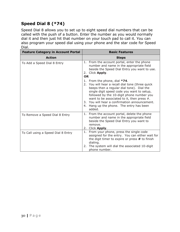## <span id="page-29-0"></span>**Speed Dial 8 (\*74)**

Speed Dial 8 allows you to set up to eight speed dial numbers that can be called with the push of a button. Enter the number as you would normally dial it and then just hit that number on your touch pad to call it. You can also program your speed dial using your phone and the star code for Speed Dial.

| <b>Feature Category in Account Portal</b> | <b>Basic Features</b>                                                                                                                                                                                                                                                                                                                                                               |
|-------------------------------------------|-------------------------------------------------------------------------------------------------------------------------------------------------------------------------------------------------------------------------------------------------------------------------------------------------------------------------------------------------------------------------------------|
| <b>Action</b>                             | <b>Steps</b>                                                                                                                                                                                                                                                                                                                                                                        |
| To Add a Speed Dial 8 Entry               | 1. From the account portal, enter the phone<br>number and name in the appropriate field<br>beside the Speed Dial Entry you want to use.<br>2. Click Apply.<br><b>OR</b>                                                                                                                                                                                                             |
|                                           | 1. From the phone, dial $*74$ .<br>2. You will hear a recall dial tone (three quick<br>beeps then a regular dial tone). Dial the<br>single digit speed code you want to setup,<br>followed by the 10-digit phone number you<br>want to be associated to it, then press $#$ .<br>3. You will hear a confirmation announcement.<br>4. Hang up the phone. The entry has been<br>added. |
| To Remove a Speed Dial 8 Entry            | From the account portal, delete the phone<br>1.<br>number and name in the appropriate field<br>beside the Speed Dial Entry you want to<br>remove.<br>2. Click Apply.                                                                                                                                                                                                                |
| To Call using a Speed Dial 8 Entry        | From your phone, press the single code<br>1.<br>assigned for the entry. You can either wait for<br>the digit timer to expire or press # to finish<br>dialing.<br>The system will dial the associated 10-digit<br>2.<br>phone number.                                                                                                                                                |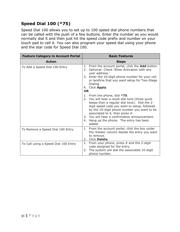## <span id="page-30-0"></span>**Speed Dial 100 (\*75)**

Speed Dial 100 allows you to set up to 100 speed dial phone numbers that can be called with the push of a few buttons. Enter the number as you would normally dial it and then just hit the speed code prefix and number on your touch pad to call it. You can also program your speed dial using your phone and the star code for Speed Dial 100.

| <b>Feature Category in Account Portal</b> | <b>Basic Features</b>                                                                                                                                                                                                                                                                                                                                                           |
|-------------------------------------------|---------------------------------------------------------------------------------------------------------------------------------------------------------------------------------------------------------------------------------------------------------------------------------------------------------------------------------------------------------------------------------|
| <b>Action</b>                             | <b>Steps</b>                                                                                                                                                                                                                                                                                                                                                                    |
| To Add a Speed Dial 100 Entry             | From the account portal, click the <b>Add</b> button.<br>1.<br>Optional: Check 'Allow Activation with any<br>2.<br>user address.'<br>3. Enter the 10-digit phone number for your cell<br>or landline that you want setup for Two-Stage<br>Dialing.<br>4. Click Apply.<br><b>OR</b>                                                                                              |
|                                           | 1. From the phone, dial $*75$ .<br>2. You will hear a recall dial tone (three quick<br>beeps then a regular dial tone). Dial the 2-<br>digit speed code you want to setup, followed<br>by the 10-digit phone number you want to be<br>associated to it, then press $#$ .<br>3. You will hear a confirmation announcement.<br>4. Hang up the phone. The entry has been<br>added. |
| To Remove a Speed Dial 100 Entry          | 1. From the account portal, click the box under<br>the 'Delete' column beside the entry you want<br>to remove.<br>2. Click Delete.                                                                                                                                                                                                                                              |
| To Call using a Speed Dial 100 Entry      | 1. From your phone, press $#$ and the 2-digit<br>code assigned for the entry.<br>The system will dial the associated 10-digit<br>2.<br>phone number.                                                                                                                                                                                                                            |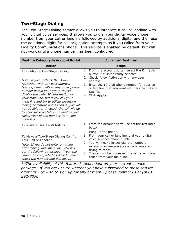### <span id="page-31-0"></span>**Two-Stage Dialing**

The Two-Stage Dialing service allows you to integrate a cell or landline with your digital voice services. It allows you to dial your digital voice phone number from your cell or landline followed by additional digits, and then use the additional digits for call origination attempts as if you called from your Fidelity Communications phone. This service is enabled by default, but will not work until a phone number has been configured.

| <b>Feature Category in Account Portal</b>                                                                                                                                                                                                                                                                                                                                                                                                                                                                      | <b>Advanced Features</b>                                                                                                                                                                                                                                                             |
|----------------------------------------------------------------------------------------------------------------------------------------------------------------------------------------------------------------------------------------------------------------------------------------------------------------------------------------------------------------------------------------------------------------------------------------------------------------------------------------------------------------|--------------------------------------------------------------------------------------------------------------------------------------------------------------------------------------------------------------------------------------------------------------------------------------|
| <b>Action</b>                                                                                                                                                                                                                                                                                                                                                                                                                                                                                                  | <b>Steps</b>                                                                                                                                                                                                                                                                         |
| To Configure Two-Stage Dialing<br>Note: If you uncheck the 'Allow<br>Activation with any user address'<br>feature, direct calls to any other phone<br>number within your group will still<br>display the caller ID information of<br>your main line, but if you call your<br>main line and try to utilize extension<br>dialing or feature access codes, you will<br>not be able to. Instead, the call will go<br>to your voice portal like it would if you<br>called your phone number from your<br>main line. | 1. From the account portal, select the On radio<br>button if it isn't already selected.<br>2. Check 'Allow Activation with any user<br>address.'<br>3. Enter the 10-digit phone number for your cell<br>or landline that you want setup for Two-Stage<br>Dialing.<br>4. Click Apply. |
| To Disable Two-Stage Dialing                                                                                                                                                                                                                                                                                                                                                                                                                                                                                   | 1. From the account portal, select the Off radio<br>button.<br>2. Hang up the phone.                                                                                                                                                                                                 |
| To Make a Two-Stage Dialing Call from<br>Your Cell or Landline<br>Note: If you do not enter anything<br>after dialing your main line, you will<br>get the following message: "Your call<br>cannot be completed as dialed, please<br>check the number and dial again."                                                                                                                                                                                                                                          | From your cell or landline, dial your digital<br>1.<br>voice services phone number.<br>2. You will hear silence; dial the number,<br>extension or feature access code you are<br>trying to reach.<br>3. The call will be processed the same as if you<br>called from your main line. |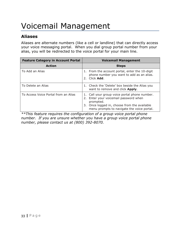## <span id="page-32-0"></span>Voicemail Management

## <span id="page-32-1"></span>**Aliases**

Aliases are alternate numbers (like a cell or landline) that can directly access your voice messaging portal. When you dial group portal number from your alias, you will be redirected to the voice portal for your main line.

| <b>Feature Category in Account Portal</b> | <b>Voicemail Management</b>                                                                                                                                                                    |
|-------------------------------------------|------------------------------------------------------------------------------------------------------------------------------------------------------------------------------------------------|
| <b>Action</b>                             | <b>Steps</b>                                                                                                                                                                                   |
| To Add an Alias                           | 1. From the account portal, enter the 10-digit<br>phone number you want to add as an alias.<br>2. Click Add.                                                                                   |
| To Delete an Alias                        | 1. Check the 'Delete' box beside the Alias you<br>want to remove and click Apply.                                                                                                              |
| To Access Voice Portal from an Alias      | 1. Call your group voice portal phone number.<br>Enter your voicemail password when<br>prompted.<br>3. Once logged in, choose from the available<br>menu prompts to navigate the voice portal. |

*\*\*This feature requires the configuration of a group voice portal phone number. If you are unsure whether you have a group voice portal phone number, please contact us at (800) 392-8070.*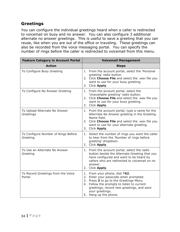### <span id="page-33-0"></span>**Greetings**

You can configure the individual greetings heard when a caller is redirected to voicemail on busy and no answer. You can also configure 3 additional alternate no answer greetings. This is useful to save a greeting that you can reuse, like when you are out of the office or traveling. These greetings can also be recorded from the voice messaging portal. You can specify the number of rings before the caller is redirected to voicemail from this menu.

| <b>Feature Category in Account Portal</b>        | <b>Voicemail Management</b>                                                                                                                                                                                                                              |
|--------------------------------------------------|----------------------------------------------------------------------------------------------------------------------------------------------------------------------------------------------------------------------------------------------------------|
| <b>Action</b>                                    | <b>Steps</b>                                                                                                                                                                                                                                             |
| To Configure Busy Greeting                       | 1. From the account portal, select the 'Personal<br>greeting' radio button.<br>2. Click Choose File and select the .wav file you<br>want to use for your busy greeting.<br>3. Click Apply.                                                               |
| To Configure No Answer Greeting                  | 1. From the account portal, select the<br>'Unavailable greeting' radio button.<br>2. Click Choose File and select the .wav file you<br>want to use for your busy greeting.<br>3. Click Apply.                                                            |
| To Upload Alternate No Answer<br>Greetings       | 1. From the account portal, type a name for the<br>Alternate No Answer greeting in the Greeting<br>Name field.<br>2. Click Choose File and select the .wav file you<br>want to use for your alternate greeting.<br>3. Click Apply.                       |
| To Configure Number of Rings Before<br>Greeting. | 1. Select the number of rings you want the caller<br>to hear from the 'Number of rings before<br>greeting' dropdown.<br>2. Click Apply.                                                                                                                  |
| To Use an Alternate No Answer<br>Greeting        | 1. From the account portal, select the radio<br>button beside the Alternate Greeting that you<br>have configured and want to be heard by<br>callers who are redirected to voicemail on no<br>answer.<br>2. Click Apply.                                  |
| To Record Greetings from the Voice<br>Portal     | 1. From your phone, dial *62.<br>2. Enter your passcode when prompted.<br>3. Press 3 to go to the Greetings Menu.<br>4. Follow the prompts to listen to current<br>greetings, record new greetings, and save<br>your greetings.<br>5. Hang up the phone. |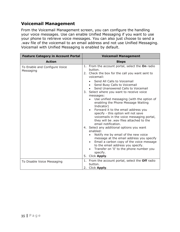#### <span id="page-34-0"></span>**Voicemail Management**

From the Voicemail Management screen, you can configure the handling your voice messages. Use can enable Unified Messaging if you want to use your phone to retrieve voice messages. You can also just choose to send a .wav file of the voicemail to an email address and not use Unified Messaging. Voicemail with Unified Messaging is enabled by default.

| <b>Feature Category in Account Portal</b>  | <b>Voicemail Management</b>                                                                                                                                                                                                                                |
|--------------------------------------------|------------------------------------------------------------------------------------------------------------------------------------------------------------------------------------------------------------------------------------------------------------|
| <b>Action</b>                              | <b>Steps</b>                                                                                                                                                                                                                                               |
| To Enable and Configure Voice<br>Messaging | 1. From the account portal, select the On radio<br>button.<br>2. Check the box for the call you want sent to<br>voicemail:                                                                                                                                 |
|                                            | Send All Calls to Voicemail<br>Send Busy Calls to Voicemail<br>$\bullet$<br>Send Unanswered Calls to Voicemail<br>$\bullet$<br>3. Select where you want to receive voice<br>messages:                                                                      |
|                                            | Use unified messaging (with the option of<br>enabling the Phone Message Waiting<br>Indicator)<br>Forward it to the email address you<br>$\bullet$                                                                                                          |
|                                            | specify - this option will not save<br>voicemails in the voice messaging portal,<br>they will be .wav files attached to the<br>email notification.                                                                                                         |
|                                            | 4. Select any additional options you want<br>enabled:                                                                                                                                                                                                      |
|                                            | Notify me by email of the new voice<br>message at the email address you specify<br>Email a carbon copy of the voice message<br>$\bullet$<br>to the email address you specify.<br>Transfer on '0' to the phone number you<br>specify.<br>Click Apply.<br>5. |
| To Disable Voice Messaging                 | 1. From the account portal, select the Off radio<br>button.<br>Click Apply.<br>2.                                                                                                                                                                          |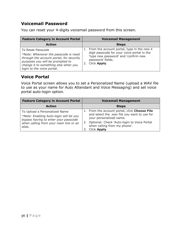#### <span id="page-35-0"></span>**Voicemail Password**

You can reset your 4-digits voicemail password from this screen.

| <b>Feature Category in Account Portal</b>                                                                                                                                                                        | <b>Voicemail Management</b>                                                                                                                                                     |
|------------------------------------------------------------------------------------------------------------------------------------------------------------------------------------------------------------------|---------------------------------------------------------------------------------------------------------------------------------------------------------------------------------|
| <b>Action</b>                                                                                                                                                                                                    | <b>Steps</b>                                                                                                                                                                    |
| To Reset Passcode<br>*Note: Whenever the passcode is reset<br>through the account portal, for security<br>purposes you will be prompted to<br>change it to something else when you<br>login to the voice portal. | 1. From the account portal, type in the new 4<br>digit passcode for your voice portal in the<br>'type new password' and 'confirm new<br>password' fields.<br>Click Apply.<br>2. |

#### <span id="page-35-1"></span>**Voice Portal**

Voice Portal screen allows you to set a Personalized Name (upload a WAV file to use as your name for Auto Attendant and Voice Messaging) and set voice portal auto-login option.

| <b>Feature Category in Account Portal</b>                                                                                                                            | <b>Voicemail Management</b>                                                                                                                                                                                                      |
|----------------------------------------------------------------------------------------------------------------------------------------------------------------------|----------------------------------------------------------------------------------------------------------------------------------------------------------------------------------------------------------------------------------|
| <b>Action</b>                                                                                                                                                        | <b>Steps</b>                                                                                                                                                                                                                     |
| To Upload a Personalized Name<br>*Note: Enabling Auto-login will let you<br>bypass having to enter your passcode<br>when calling from your main line or an<br>alias. | 1. From the account portal, click Choose File<br>and select the .wav file you want to use for<br>your personalized name.<br>2. Optional: Check 'Auto-login to Voice Portal<br>when calling from my phone'.<br>Click Apply.<br>3. |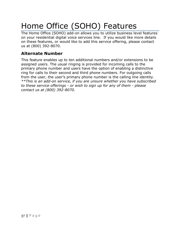## <span id="page-36-0"></span>Home Office (SOHO) Features

The Home Office (SOHO) add-on allows you to utilize business level features on your residential digital voice services line. If you would like more details on these features, or would like to add this service offering, please contact us at (800) 392-8070.

#### <span id="page-36-1"></span>**Alternate Number**

This feature enables up to ten additional numbers and/or extensions to be assigned users. The usual ringing is provided for incoming calls to the primary phone number and users have the option of enabling a distinctive ring for calls to their second and third phone numbers. For outgoing calls from the user, the user's primary phone number is the calling line identity. *\*\*This is an add-on service, if you are unsure whether you have subscribed to these service offerings - or wish to sign up for any of them - please contact us at (800) 392-8070.*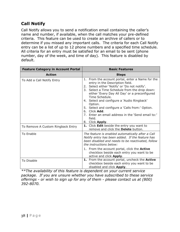## <span id="page-37-0"></span>**Call Notify**

Call Notify allows you to send a notification email containing the caller's name and number, if available, when the call matches your pre-defined criteria. This feature can be used to create an archive of callers or to determine if you missed any important calls. The criteria for each Call Notify entry can be a list of up to 12 phone numbers and a specified time schedule. All criteria for an entry must be satisfied for an email to be sent (phone number, day of the week, and time of day). This feature is disabled by default.

| <b>Feature Category in Account Portal</b> | <b>Basic Features</b>                                                                                                                                                                                                                                                                                                                                                                                                                                                   |
|-------------------------------------------|-------------------------------------------------------------------------------------------------------------------------------------------------------------------------------------------------------------------------------------------------------------------------------------------------------------------------------------------------------------------------------------------------------------------------------------------------------------------------|
| <b>Action</b>                             | <b>Steps</b>                                                                                                                                                                                                                                                                                                                                                                                                                                                            |
| To Add a Call Notify Entry                | 1. From the account portal, enter a Name for the<br>entry in the Description field.<br>2. Select either 'Notify' or 'Do not notify'.<br>3. Select a Time Schedule from the drop down:<br>either 'Every Day All Day' or a preconfigured<br>Time Schedule.<br>4. Select and configure a 'Audio Ringback'<br>Option.<br>5. Select and configure a 'Calls from:' Option.<br>6. Click Add.<br>7. Enter an email address in the 'Send email to:'<br>field.<br>8. Click Apply. |
| To Remove A Custom Ringback Entry         | 1. Click Edit beside the entry you want to<br>remove and click the Delete button.                                                                                                                                                                                                                                                                                                                                                                                       |
| <b>To Enable</b>                          | The feature is enabled automatically after a Call<br>Notify entry has been added. If the feature has<br>been disabled and needs to be reactivated, follow<br>the instructions below:<br>1. From the account portal, click the <b>Active</b><br>checkbox beside each entry you want to be                                                                                                                                                                                |
|                                           | active and click Apply.                                                                                                                                                                                                                                                                                                                                                                                                                                                 |
| <b>To Disable</b>                         | 1. From the account portal, uncheck the Active<br>checkbox beside each entry you want to be<br>disabled and click Apply.                                                                                                                                                                                                                                                                                                                                                |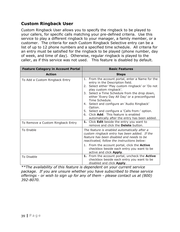#### <span id="page-38-0"></span>**Custom Ringback User**

Custom Ringback User allows you to specify the ringback to be played to your callers, for specific calls matching your pre-defined criteria. Use this service to play a different ringback to your manager, a family member, or a customer. The criteria for each Custom Ringback Selective entry can be a list of up to 12 phone numbers and a specified time schedule. All criteria for an entry must be satisfied for the ringback to be played (phone number, day of week, and time of day). Otherwise, regular ringback is played to the caller, as if this service was not used. This feature is disabled by default.

| <b>Feature Category in Account Portal</b> | <b>Basic Features</b>                                                                                                                                                                                                                                                                                                                                                                                                                                                                             |
|-------------------------------------------|---------------------------------------------------------------------------------------------------------------------------------------------------------------------------------------------------------------------------------------------------------------------------------------------------------------------------------------------------------------------------------------------------------------------------------------------------------------------------------------------------|
| <b>Action</b>                             | <b>Steps</b>                                                                                                                                                                                                                                                                                                                                                                                                                                                                                      |
| To Add a Custom Ringback Entry            | 1. From the account portal, enter a Name for the<br>entry in the Description field.<br>2. Select either 'Play custom ringback' or 'Do not<br>play custom ringback'.<br>3. Select a Time Schedule from the drop down,<br>either 'Every Day All Day' or a preconfigured<br>Time Schedule.<br>4. Select and configure an 'Audio Ringback'<br>Option.<br>5. Select and configure a 'Calls from:' option.<br>Click Add. This feature is enabled<br>6.<br>automatically after the entry has been added. |
| To Remove a Custom Ringback Entry         | 1. Click Edit beside the entry you want to<br>remove and click the <b>Delete</b> button.                                                                                                                                                                                                                                                                                                                                                                                                          |
| <b>To Enable</b>                          | The feature is enabled automatically after a<br>custom ringback entry has been added. If the<br>feature has been disabled and needs to be<br>reactivated, follow the instructions below:<br>1. From the account portal, click the <b>Active</b>                                                                                                                                                                                                                                                   |
|                                           | checkbox beside each entry you want to be<br>active and click <b>Apply</b> .                                                                                                                                                                                                                                                                                                                                                                                                                      |
| To Disable                                | 1. From the account portal, uncheck the Active<br>checkbox beside each entry you want to be<br>disabled and click Apply.                                                                                                                                                                                                                                                                                                                                                                          |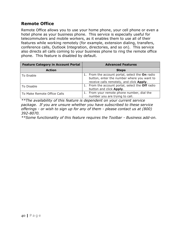#### <span id="page-39-0"></span>**Remote Office**

Remote Office allows you to use your home phone, your cell phone or even a hotel phone as your business phone. This service is especially useful for telecommuters and mobile workers, as it enables them to use all of their features while working remotely (for example, extension dialing, transfers, conference calls, Outlook Integration, directories, and so on). This service also directs all calls coming to your business phone to ring the remote office phone. This feature is disabled by default.

| <b>Feature Category in Account Portal</b> | <b>Advanced Features</b>                                                                                                                  |
|-------------------------------------------|-------------------------------------------------------------------------------------------------------------------------------------------|
| <b>Action</b>                             | <b>Steps</b>                                                                                                                              |
| To Enable                                 | 1. From the account portal, select the On radio<br>button, enter the number where you want to<br>receive calls remotely, and click Apply. |
| To Disable                                | 1. From the account portal, select the Off radio<br>button and click Apply.                                                               |
| To Make Remote Office Calls               | From your remote phone number, dial the<br>number you are trying to call.                                                                 |

*\*\*The availability of this feature is dependent on your current service package. If you are unsure whether you have subscribed to these service offerings - or wish to sign up for any of them - please contact us at (800) 392-8070.*

*\*\*Some functionality of this feature requires the Toolbar - Business add-on.*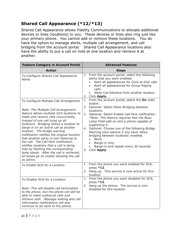## <span id="page-40-0"></span>**Shared Call Appearance (\*12/\*13)**

Shared Call Appearance allows Fidelity Communications to allocate additional devices or lines (locations) to you. These devices or lines also ring just like your primary phone. You cannot add or remove these locations. You do have the option to manage alerts, multiple call arrangement, and call bridging from the account portal. Shared Call Appearance locations also have the ability to put a call on hold at one location and retrieve it at another.

| <b>Feature Category in Account Portal</b>                                                                                                                                                                                                                                                                                                                                                                                                                                                                                                                                                                                                           | <b>Advanced Features</b>                                                                                                                                                                                                                                                                                                                                                                                                                                                                                                                        |
|-----------------------------------------------------------------------------------------------------------------------------------------------------------------------------------------------------------------------------------------------------------------------------------------------------------------------------------------------------------------------------------------------------------------------------------------------------------------------------------------------------------------------------------------------------------------------------------------------------------------------------------------------------|-------------------------------------------------------------------------------------------------------------------------------------------------------------------------------------------------------------------------------------------------------------------------------------------------------------------------------------------------------------------------------------------------------------------------------------------------------------------------------------------------------------------------------------------------|
| <b>Action</b>                                                                                                                                                                                                                                                                                                                                                                                                                                                                                                                                                                                                                                       | <b>Steps</b>                                                                                                                                                                                                                                                                                                                                                                                                                                                                                                                                    |
| To Configure Shared Call Appearance<br><b>Alerts</b>                                                                                                                                                                                                                                                                                                                                                                                                                                                                                                                                                                                                | 1. From the account portal, select the following<br>alerts that you want enabled.<br>Alert all appearances for Click-to-Dial calls<br>Alert all appearances for Group Paging<br>calls<br>Allow Call Retrieve from another location<br>$\bullet$<br>2. Click Apply.                                                                                                                                                                                                                                                                              |
| To Configure Multiple Call Arrangement<br>Note: The Multiple Call Arrangement<br>feature allows multiple SCA locations to<br>make and receive calls concurrently,<br>instead of one call tying up all<br>locations. Bridging allows a location to<br>barge in on an active call at another<br>location. The bridge warning<br>notification notifies the original location<br>that another party is now listening to<br>the call. The Call Park notification<br>notifies locations that a call is being<br>help by flashing the corresponding<br>lamp slowly. After the call is retrieved,<br>all lamps go on (solid) showing the call<br>as active. | 1. From the account portal, select the On radio<br>button.<br>2. Optional: Select Allow Bridging between<br>locations.<br>3. Optional: Select Enable Call Park notification.<br>*Note: This feature requires that the Busy<br>Lamp Field add-on and a phone capable of<br>supporting it.<br>4. Optional: Choose one of the following Bridge<br>Warning tone options if you have 'Allow<br>bridging between locations' enabled.<br>None<br>Barge-in only<br>$\bullet$<br>Barge-in and repeat every 30 seconds<br>$\bullet$<br>Click Apply.<br>5. |
| To Enable SCA for a Location                                                                                                                                                                                                                                                                                                                                                                                                                                                                                                                                                                                                                        | 1. From the phone you want enabled for SCA,<br>press $*12$ .<br>2. Hang up. This service is now active for this<br>location.                                                                                                                                                                                                                                                                                                                                                                                                                    |
| To Disable SCA for a Location<br>Note: This will disable call termination<br>to the phone, but the phone will still be<br>able to make outbound calls and<br>retrieve calls. Message waiting and call<br>information notifications will also<br>continue to be send to the phone.                                                                                                                                                                                                                                                                                                                                                                   | 1. From the phone you want disabled for SCA,<br>press $*13$ .<br>2. Hang up the phone. The service is now<br>disabled for this location.                                                                                                                                                                                                                                                                                                                                                                                                        |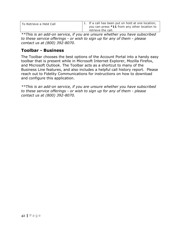| To Retrieve a Held Call | 1. If a call has been put on hold at one location,<br>you can press $*11$ from any other location to<br>retrieve the call. |
|-------------------------|----------------------------------------------------------------------------------------------------------------------------|
|                         |                                                                                                                            |

*\*\*This is an add-on service, if you are unsure whether you have subscribed to these service offerings - or wish to sign up for any of them - please contact us at (800) 392-8070.*

#### <span id="page-41-0"></span>**Toolbar - Business**

The Toolbar chooses the best options of the Account Portal into a handy easy toolbar that is present while in Microsoft Internet Explorer, Mozilla Firefox, and Microsoft Outlook. The Toolbar acts as a shortcut to many of the Business Line features, and also includes a helpful call history report. Please reach out to Fidelity Communications for instructions on how to download and configure this application.

*\*\*This is an add-on service, if you are unsure whether you have subscribed to these service offerings - or wish to sign up for any of them - please contact us at (800) 392-8070.*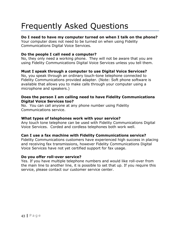## <span id="page-42-0"></span>Frequently Asked Questions

#### **Do I need to have my computer turned on when I talk on the phone?**

Your computer does not need to be turned on when using Fidelity Communications Digital Voice Services.

#### **Do the people I call need a computer?**

No, they only need a working phone. They will not be aware that you are using Fidelity Communications Digital Voice Services unless you tell them.

#### **Must I speak through a computer to use Digital Voice Services?**

No, you speak through an ordinary touch-tone telephone connected to Fidelity Communications provided adapter. (Note: Soft phone software is available that allows you to make calls through your computer using a microphone and speakers.)

#### **Does the person I am calling need to have Fidelity Communications Digital Voice Services too?**

No. You can call anyone at any phone number using Fidelity Communications service.

#### **What types of telephones work with your service?**

Any touch tone telephone can be used with Fidelity Communications Digital Voice Services. Corded and cordless telephones both work well.

#### **Can I use a fax machine with Fidelity Communications service?**

Fidelity Communications customers have experienced high success in placing and receiving fax transmissions, however Fidelity Communications Digital Voice Services have not yet certified support for fax usage.

#### **Do you offer roll-over service?**

Yes. If you have multiple telephone numbers and would like roll-over from the main line to another line, it is possible to set that up. If you require this service, please contact our customer service center.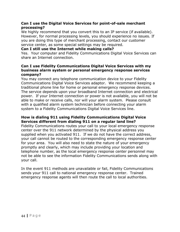#### **Can I use the Digital Voice Services for point-of-sale merchant processing?**

We highly recommend that you convert this to an IP service (if available). However, for normal processing levels, you should experience no issues. If you are doing this type of merchant processing, contact our customer service center, as some special settings may be required.

#### **Can I still use the Internet while making calls?**

Yes. Your computer and Fidelity Communications Digital Voice Services can share an Internet connection.

#### **Can I use Fidelity Communications Digital Voice Services with my business alarm system or personal emergency response services company?**

You may connect any telephone communication device to your Fidelity Communications Digital Voice Services adaptor. We recommend keeping a traditional phone line for home or personal emergency response devices. The service depends upon your broadband Internet connection and electrical power. If your Internet connection or power is not available, you will not be able to make or receive calls, nor will your alarm system. Please consult with a qualified alarm system technician before connecting your alarm system to a Fidelity Communications Digital Voice Services line.

#### **How is dialing 911 using Fidelity Communications Digital Voice Services different from dialing 911 on a regular land line?**

Fidelity Communications routes your call to your local emergency response center over the 911 network determined by the physical address you supplied when you activated 911. If we do not have the correct address, your call cannot be routed to the corresponding emergency response center for your area. You will also need to state the nature of your emergency promptly and clearly, which may include providing your location and telephone number, as the local emergency response center personnel may not be able to see the information Fidelity Communications sends along with your call.

In the event 911 methods are unavailable or fail, Fidelity Communications sends your 911 call to national emergency response center. Trained emergency response agents will then route the call to local authorities.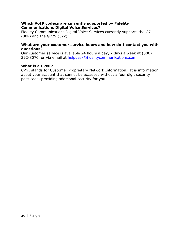#### **Which VoIP codecs are currently supported by Fidelity Communications Digital Voice Services?**

Fidelity Communications Digital Voice Services currently supports the G711 (80k) and the G729 (32k).

#### **What are your customer service hours and how do I contact you with questions?**

Our customer service is available 24 hours a day, 7 days a week at (800) 392-8070, or via email at helpdesk@fidelitycommunications.com

#### **What is a CPNI?**

CPNI stands for Customer Proprietary Network Information. It is information about your account that cannot be accessed without a four digit security pass code, providing additional security for you.